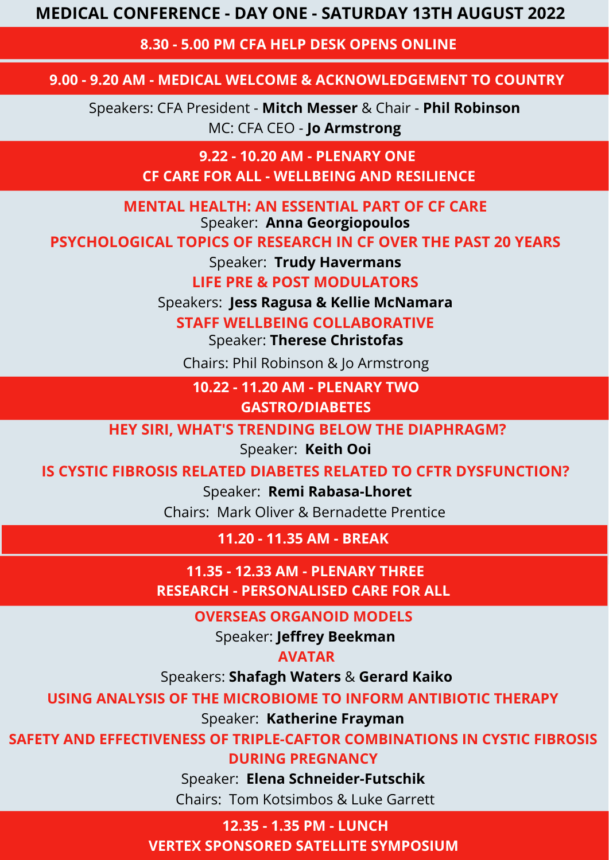**8.30 - 5.00 PM CFA HELP DESK OPENS ONLINE**

#### **9.00 - 9.20 AM - MEDICAL WELCOME & ACKNOWLEDGEMENT TO COUNTRY**

**9.22 - 10.20 AM - PLENARY ONE CF CARE FOR ALL - WELLBEING AND RESILIENCE**

Speakers: CFA President - **Mitch Messer** & Chair - **Phil Robinson** MC: CFA CEO - **Jo Armstrong**

**MENTAL HEALTH: AN ESSENTIAL PART OF CF CARE**

Speaker: **Anna Georgiopoulos**

#### **PSYCHOLOGICAL TOPICS OF RESEARCH IN CF OVER THE PAST 20 YEARS**

Speaker: **Trudy Havermans**

**LIFE PRE & POST MODULATORS**

Speakers: **Jess Ragusa & Kellie McNamara**

**STAFF WELLBEING COLLABORATIVE**

Speaker: **Therese Christofas**

Chairs: Phil Robinson & Jo Armstrong

**HEY SIRI, WHAT'S TRENDING BELOW THE DIAPHRAGM?**

Speaker: **Keith Ooi**

#### **IS CYSTIC FIBROSIS RELATED DIABETES RELATED TO CFTR DYSFUNCTION?**

Speaker: **Remi Rabasa-Lhoret**

**10.22 - 11.20 AM - PLENARY TWO**

**GASTRO/DIABETES**

Chairs: Mark Oliver & Bernadette Prentice

**11.20 - 11.35 AM - BREAK**

**11.35 - 12.33 AM - PLENARY THREE RESEARCH - PERSONALISED CARE FOR ALL**

**OVERSEAS ORGANOID MODELS**

Speaker: **Jeffrey Beekman**

**AVATAR**

Speakers: **Shafagh Waters** & **Gerard Kaiko**

**USING ANALYSIS OF THE MICROBIOME TO INFORM ANTIBIOTIC THERAPY**

Speaker: **Katherine Frayman**

**SAFETY AND EFFECTIVENESS OF TRIPLE-CAFTOR COMBINATIONS IN CYSTIC FIBROSIS DURING PREGNANCY**

Speaker: **Elena Schneider-Futschik**

Chairs: Tom Kotsimbos & Luke Garrett

**12.35 - 1.35 PM - LUNCH VERTEX SPONSORED SATELLITE SYMPOSIUM**

# **MEDICAL CONFERENCE - DAY ONE - SATURDAY 13TH AUGUST 2022**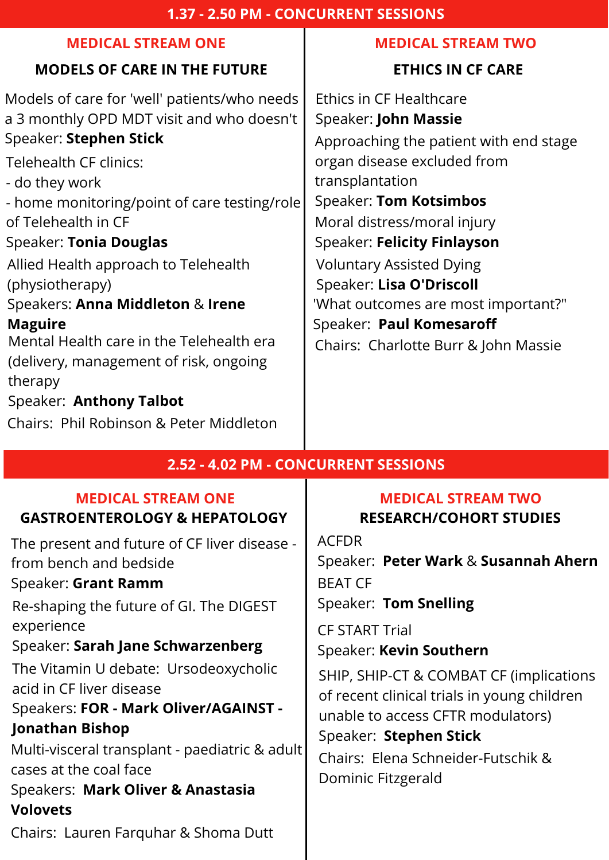# **ETHICS IN CF CARE**

# **MEDICAL STREAM TWO**

# **MODELS OF CARE IN THE FUTURE**

### **MEDICAL STREAM ONE**

Models of care for 'well' patients/who needs a 3 monthly OPD MDT visit and who doesn't Speaker: **Stephen Stick**

Telehealth CF clinics:

- do they work

- home monitoring/point of care testing/role of Telehealth in CF

Speaker: **Tonia Douglas**

Allied Health approach to Telehealth (physiotherapy)

Speakers: **Anna Middleton** & **Irene Maguire**

Mental Health care in the Telehealth era (delivery, management of risk, ongoing therapy

Speaker: **Anthony Talbot**

Chairs: Phil Robinson & Peter Middleton

#### **2.52 - 4.02 PM - CONCURRENT SESSIONS**

# **GASTROENTEROLOGY & HEPATOLOGY RESEARCH/COHORT STUDIES**

Ethics in CF Healthcare Speaker: **John Massie** Approaching the patient with end stage organ disease excluded from transplantation Speaker: **Tom Kotsimbos** Moral distress/moral injury Speaker: **Felicity Finlayson** 'What outcomes are most important?" Speaker: **Paul Komesaroff** Chairs: Charlotte Burr & John Massie Voluntary Assisted Dying Speaker: **Lisa O'Driscoll**

The present and future of CF liver disease from bench and bedside

## Speaker: **Grant Ramm**

Re-shaping the future of GI. The DIGEST experience

# Speaker: **Sarah Jane Schwarzenberg**

The Vitamin U debate: Ursodeoxycholic acid in CF liver disease

# Speakers: **FOR - Mark Oliver/AGAINST - Jonathan Bishop**

Multi-visceral transplant - paediatric & adult cases at the coal face

**MEDICAL STREAM ONE MEDICAL STREAM TWO** ACFDR Speaker: **Peter Wark** & **Susannah Ahern** BEAT CF Speaker: **Tom Snelling** CF START Trial Speaker: **Kevin Southern** SHIP, SHIP-CT & COMBAT CF (implications of recent clinical trials in young children unable to access CFTR modulators) Speaker: **Stephen Stick** Chairs: Elena Schneider-Futschik & Dominic Fitzgerald

# Speakers: **Mark Oliver & Anastasia Volovets**

Chairs: Lauren Farquhar & Shoma Dutt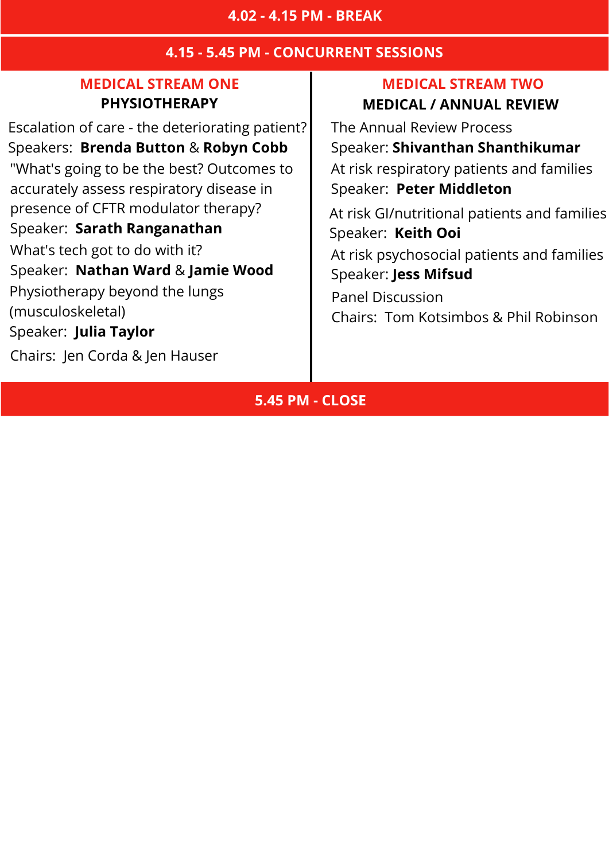#### **4.15 - 5.45 PM - CONCURRENT SESSIONS**

#### **MEDICAL STREAM ONE MEDICAL STREAM TWO**

## **PHYSIOTHERAPY MEDICAL / ANNUAL REVIEW**

Escalation of care - the deteriorating patient? Speakers: **Brenda Button** & **Robyn Cobb** "What's going to be the best? Outcomes to accurately assess respiratory disease in presence of CFTR modulator therapy? Speaker: **Sarath Ranganathan** What's tech got to do with it? Speaker: **Nathan Ward** & **Jamie Wood** Physiotherapy beyond the lungs (musculoskeletal) Speaker: **Julia Taylor**

Chairs: Jen Corda & Jen Hauser

The Annual Review Process Speaker: **Shivanthan Shanthikumar** At risk respiratory patients and families Speaker: **Peter Middleton** At risk GI/nutritional patients and families

Speaker: **Keith Ooi**

At risk psychosocial patients and families Speaker: **Jess Mifsud**

Panel Discussion

Chairs: Tom Kotsimbos & Phil Robinson

### **5.45 PM - CLOSE**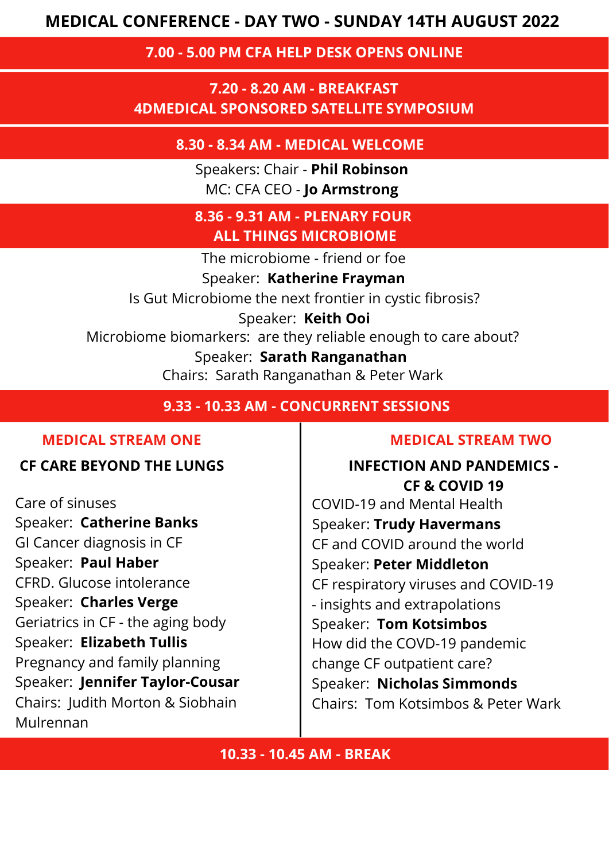#### **7.00 - 5.00 PM CFA HELP DESK OPENS ONLINE**

**7.20 - 8.20 AM - BREAKFAST 4DMEDICAL SPONSORED SATELLITE SYMPOSIUM**

> Speakers: Chair - **Phil Robinson** MC: CFA CEO - **Jo Armstrong**

**8.30 - 8.34 AM - MEDICAL WELCOME**

**8.36 - 9.31 AM - PLENARY FOUR ALL THINGS MICROBIOME**

**9.33 - 10.33 AM - CONCURRENT SESSIONS**

#### **10.33 - 10.45 AM - BREAK**

The microbiome - friend or foe

Speaker: **Katherine Frayman**

Is Gut Microbiome the next frontier in cystic fibrosis?

Speaker: **Keith Ooi**

Microbiome biomarkers: are they reliable enough to care about?

Speaker: **Sarath Ranganathan**

Chairs: Sarath Ranganathan & Peter Wark

**MEDICAL STREAM ONE MEDICAL STREAM TWO**

Care of sinuses Speaker: **Catherine Banks** GI Cancer diagnosis in CF Speaker: **Paul Haber** CFRD. Glucose intolerance Speaker: **Charles Verge** Geriatrics in CF - the aging body Speaker: **Elizabeth Tullis** Pregnancy and family planning Speaker: **Jennifer Taylor-Cousar** Chairs: Judith Morton & Siobhain Mulrennan

**CF CARE BEYOND THE LUNGS INFECTION AND PANDEMICS - CF & COVID 19** COVID-19 and Mental Health Speaker: **Trudy Havermans** CF and COVID around the world Speaker: **Peter Middleton** CF respiratory viruses and COVID-19 - insights and extrapolations Speaker: **Tom Kotsimbos** How did the COVD-19 pandemic change CF outpatient care? Speaker: **Nicholas Simmonds** Chairs: Tom Kotsimbos & Peter Wark

## **MEDICAL CONFERENCE - DAY TWO - SUNDAY 14TH AUGUST 2022**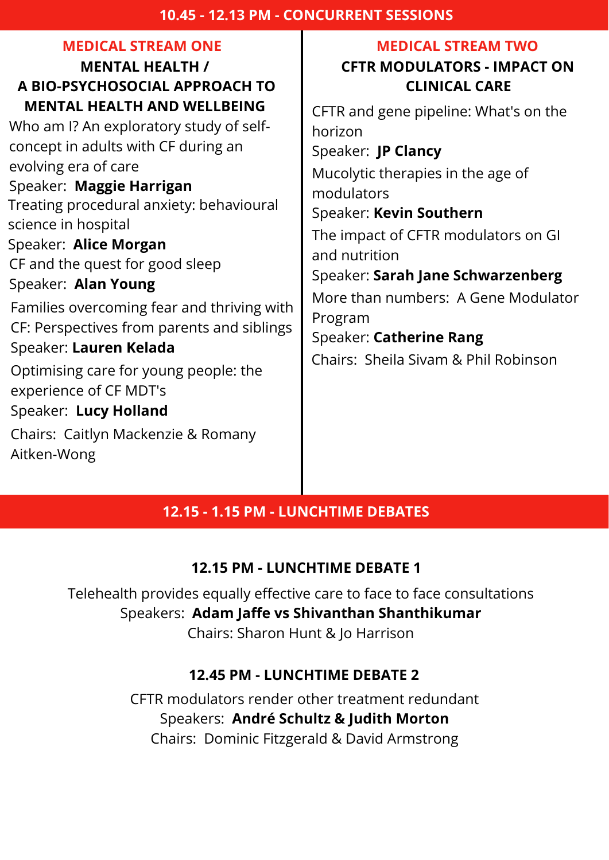#### **10.45 - 12.13 PM - CONCURRENT SESSIONS**

## **MENTAL HEALTH / A BIO-PSYCHOSOCIAL APPROACH TO MENTAL HEALTH AND WELLBEING**

## **MEDICAL STREAM ONE MEDICAL STREAM TWO**

# **CFTR MODULATORS - IMPACT ON CLINICAL CARE**

Who am I? An exploratory study of selfconcept in adults with CF during an evolving era of care

# Speaker: **Maggie Harrigan**

Treating procedural anxiety: behavioural science in hospital

Speaker: **Alice Morgan** CF and the quest for good sleep

## Speaker: **Alan Young**

Families overcoming fear and thriving with CF: Perspectives from parents and siblings Speaker: **Lauren Kelada**

Optimising care for young people: the experience of CF MDT's

Speaker: **Lucy Holland**

Chairs: Caitlyn Mackenzie & Romany Aitken-Wong

CFTR and gene pipeline: What's on the horizon

# Speaker: **JP Clancy**

Mucolytic therapies in the age of modulators

# Speaker: **Kevin Southern**

The impact of CFTR modulators on GI and nutrition

# Speaker: **Sarah Jane Schwarzenberg**

More than numbers: A Gene Modulator Program

# Speaker: **Catherine Rang**

Chairs: Sheila Sivam & Phil Robinson

#### **12.15 PM - LUNCHTIME DEBATE 1**

#### **12.45 PM - LUNCHTIME DEBATE 2**

Telehealth provides equally effective care to face to face consultations Speakers: **Adam Jaffe vs Shivanthan Shanthikumar** Chairs: Sharon Hunt & Jo Harrison

> CFTR modulators render other treatment redundant Speakers: **André Schultz & Judith Morton** Chairs: Dominic Fitzgerald & David Armstrong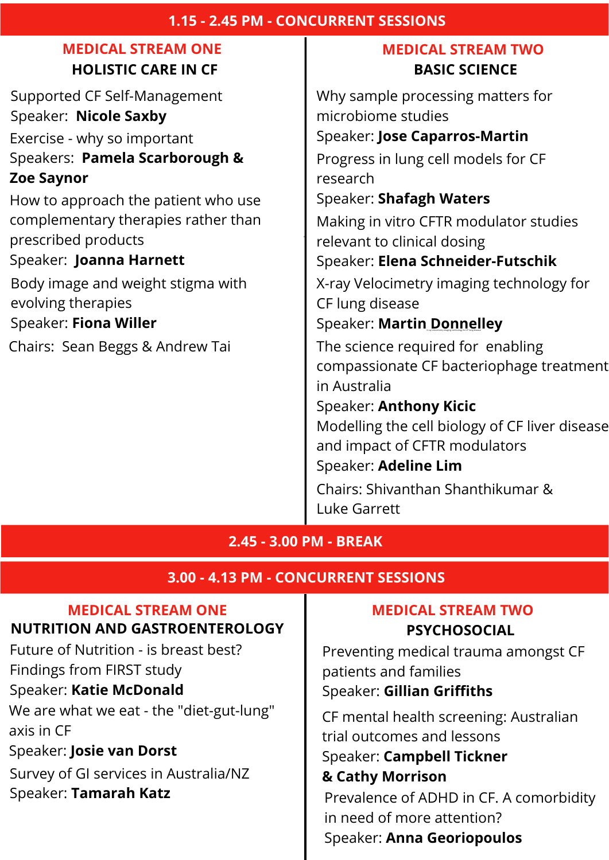é

#### **1.15 - 2.45 PM - CONCURRENT SESSIONS**

# **MEDICAL STREAM ONE MEDICAL STREAM TWO**

# **HOLISTIC CARE IN CF BASIC SCIENCE**

Supported CF Self-Management Speaker: **Nicole Saxby**

Exercise - why so important Speakers: **Pamela Scarborough & Zoe Saynor**

How to approach the patient who use complementary therapies rather than prescribed products

Speaker: **Joanna Harnett**

Body image and weight stigma with evolving therapies Speaker: **Fiona Willer**

Chairs: Sean Beggs & Andrew Tai

#### **NUTRITION AND GASTROENTEROLOGY | PSYCHOSOCIAL MEDICAL STREAM ONE MEDICAL STREAM TWO**

We are what we eat - the "diet-gut-lung" axis in CF

Why sample processing matters for microbiome studies Speaker: **Jose Caparros-Martin** Progress in lung cell models for CF research Speaker: **Shafagh Waters** Making in vitro CFTR modulator studies relevant to clinical dosing Speaker: **Elena Schneider-Futschik** X-ray Velocimetry imaging technology for CF lung disease Speaker: **Martin**X-ra**D**<sup>y</sup> Velocimet**o**ry imagin**n**<sup>g</sup> technolo**n**gy for CF**e**lung dise**l**ase **ley** The science required for enabling compassionate CF bacteriophage treatment in Australia Speaker: **Anthony Kicic** Modelling the cell biology of CF liver disease and impact of CFTR modulators

Speaker: **Adeline Lim**

Chairs: Shivanthan Shanthikumar & Luke Garrett

**2.45 - 3.00 PM - BREAK**

#### **3.00 - 4.13 PM - CONCURRENT SESSIONS**

Future of Nutrition - is breast best?

Findings from FIRST study

Speaker: **Katie McDonald**

Preventing medical trauma amongst CF patients and families Speaker: **Gillian Griffiths**

Speaker: **Josie van Dorst**

Survey of GI services in Australia/NZ **& Cathy Morrison**

CF mental health screening: Australian trial outcomes and lessons Speaker: **Campbell Tickner** Speaker: Tamarah Katz<br>
Prevalence of ADHD in CF. A comorbidity in need of more attention? Speaker: **Anna Georiopoulos**